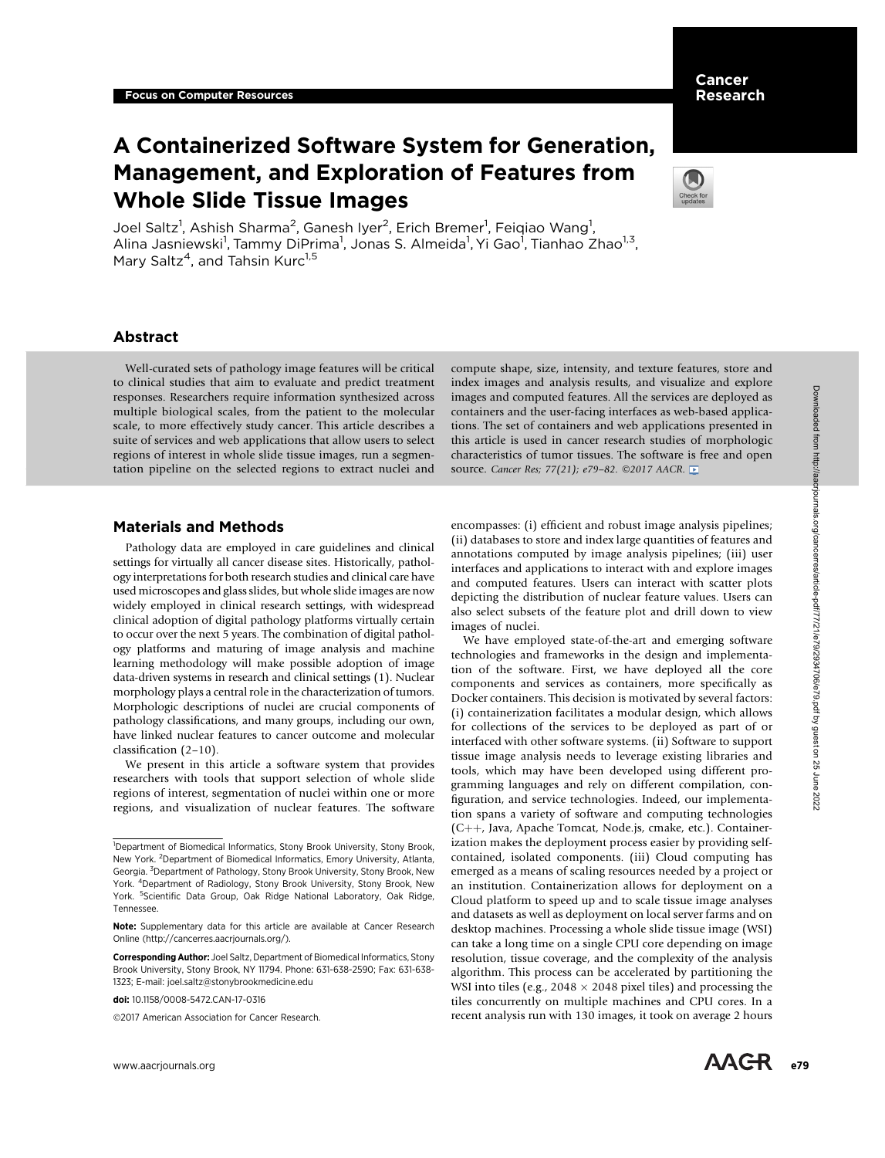# A Containerized Software System for Generation, Management, and Exploration of Features from Whole Slide Tissue Images



Joel Saltz<sup>1</sup>, Ashish Sharma<sup>2</sup>, Ganesh Iyer<sup>2</sup>, Erich Bremer<sup>1</sup>, Feiqiao Wang<sup>1</sup>, Alina Jasniewski<sup>1</sup>, Tammy DiPrima<sup>1</sup>, Jonas S. Almeida<sup>1</sup>, Yi Gao<sup>1</sup>, Tianhao Zhao<sup>1,3</sup>, Mary Saltz<sup>4</sup>, and Tahsin Kurc<sup>1,5</sup>

# Abstract

Well-curated sets of pathology image features will be critical to clinical studies that aim to evaluate and predict treatment responses. Researchers require information synthesized across multiple biological scales, from the patient to the molecular scale, to more effectively study cancer. This article describes a suite of services and web applications that allow users to select regions of interest in whole slide tissue images, run a segmentation pipeline on the selected regions to extract nuclei and

Materials and Methods

Pathology data are employed in care guidelines and clinical settings for virtually all cancer disease sites. Historically, pathology interpretations for both research studies and clinical care have used microscopes and glass slides, but whole slide images are now widely employed in clinical research settings, with widespread clinical adoption of digital pathology platforms virtually certain to occur over the next 5 years. The combination of digital pathology platforms and maturing of image analysis and machine learning methodology will make possible adoption of image data-driven systems in research and clinical settings (1). Nuclear morphology plays a central role in the characterization of tumors. Morphologic descriptions of nuclei are crucial components of pathology classifications, and many groups, including our own, have linked nuclear features to cancer outcome and molecular classification (2–10).

We present in this article a software system that provides researchers with tools that support selection of whole slide regions of interest, segmentation of nuclei within one or more regions, and visualization of nuclear features. The software

doi: 10.1158/0008-5472.CAN-17-0316

2017 American Association for Cancer Research.

compute shape, size, intensity, and texture features, store and index images and analysis results, and visualize and explore images and computed features. All the services are deployed as containers and the user-facing interfaces as web-based applications. The set of containers and web applications presented in this article is used in cancer research studies of morphologic characteristics of tumor tissues. The software is free and open source. Cancer Res; 77(21); e79-82. 20017 AACR.

encompasses: (i) efficient and robust image analysis pipelines; (ii) databases to store and index large quantities of features and annotations computed by image analysis pipelines; (iii) user interfaces and applications to interact with and explore images and computed features. Users can interact with scatter plots depicting the distribution of nuclear feature values. Users can also select subsets of the feature plot and drill down to view images of nuclei.

We have employed state-of-the-art and emerging software technologies and frameworks in the design and implementation of the software. First, we have deployed all the core components and services as containers, more specifically as Docker containers. This decision is motivated by several factors: (i) containerization facilitates a modular design, which allows for collections of the services to be deployed as part of or interfaced with other software systems. (ii) Software to support tissue image analysis needs to leverage existing libraries and tools, which may have been developed using different programming languages and rely on different compilation, configuration, and service technologies. Indeed, our implementation spans a variety of software and computing technologies  $(C++$ , Java, Apache Tomcat, Node.js, cmake, etc.). Containerization makes the deployment process easier by providing selfcontained, isolated components. (iii) Cloud computing has emerged as a means of scaling resources needed by a project or an institution. Containerization allows for deployment on a Cloud platform to speed up and to scale tissue image analyses and datasets as well as deployment on local server farms and on desktop machines. Processing a whole slide tissue image (WSI) can take a long time on a single CPU core depending on image resolution, tissue coverage, and the complexity of the analysis algorithm. This process can be accelerated by partitioning the WSI into tiles (e.g.,  $2048 \times 2048$  pixel tiles) and processing the tiles concurrently on multiple machines and CPU cores. In a recent analysis run with 130 images, it took on average 2 hours

<sup>&</sup>lt;sup>1</sup>Department of Biomedical Informatics, Stony Brook University, Stony Brook, New York. <sup>2</sup>Department of Biomedical Informatics, Emory University, Atlanta, Georgia. <sup>3</sup>Department of Pathology, Stony Brook University, Stony Brook, New York. <sup>4</sup>Department of Radiology, Stony Brook University, Stony Brook, New York. <sup>5</sup>Scientific Data Group, Oak Ridge National Laboratory, Oak Ridge, Tennessee.

Note: Supplementary data for this article are available at Cancer Research Online (http://cancerres.aacrjournals.org/).

Corresponding Author: Joel Saltz, Department of Biomedical Informatics, Stony Brook University, Stony Brook, NY 11794. Phone: 631-638-2590; Fax: 631-638- 1323; E-mail: joel.saltz@stonybrookmedicine.edu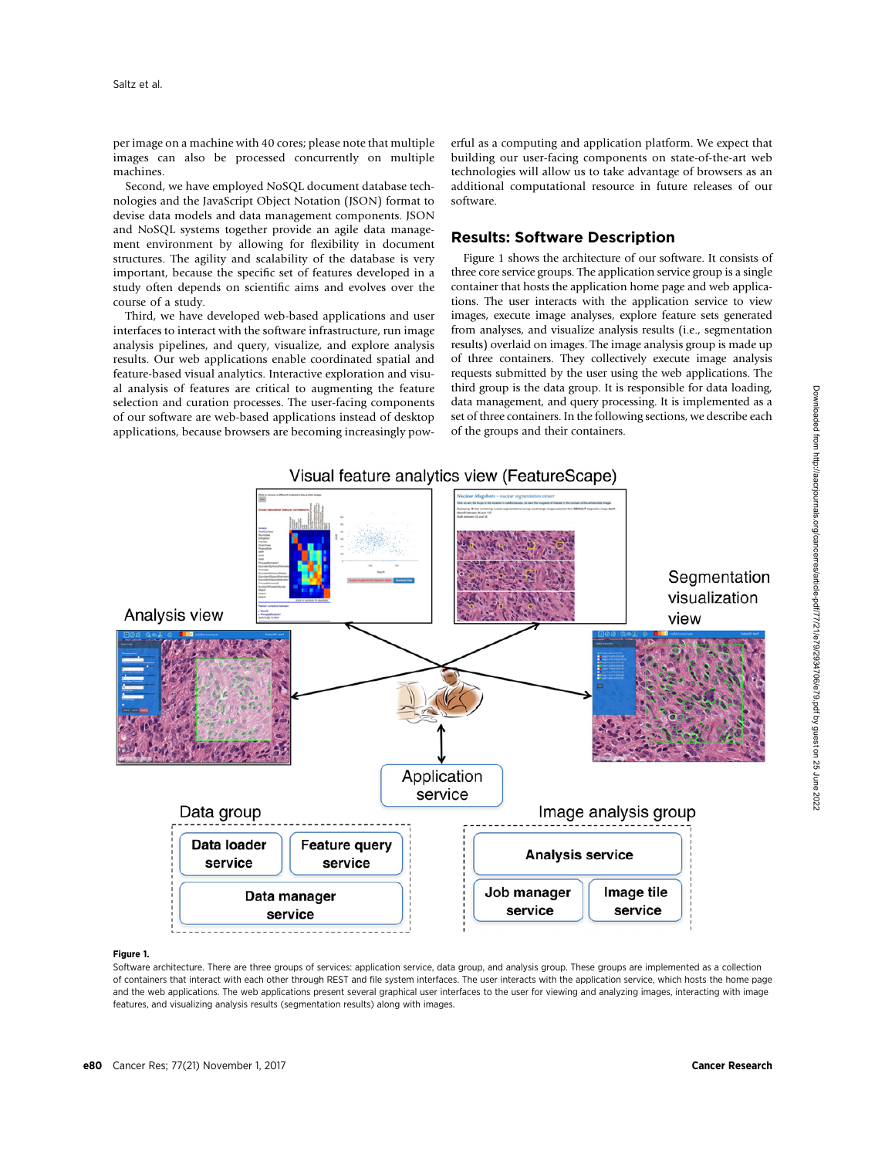per image on a machine with 40 cores; please note that multiple images can also be processed concurrently on multiple machines.

Second, we have employed NoSQL document database technologies and the JavaScript Object Notation (JSON) format to devise data models and data management components. JSON and NoSQL systems together provide an agile data management environment by allowing for flexibility in document structures. The agility and scalability of the database is very important, because the specific set of features developed in a study often depends on scientific aims and evolves over the course of a study.

Third, we have developed web-based applications and user interfaces to interact with the software infrastructure, run image analysis pipelines, and query, visualize, and explore analysis results. Our web applications enable coordinated spatial and feature-based visual analytics. Interactive exploration and visual analysis of features are critical to augmenting the feature selection and curation processes. The user-facing components of our software are web-based applications instead of desktop applications, because browsers are becoming increasingly powerful as a computing and application platform. We expect that building our user-facing components on state-of-the-art web technologies will allow us to take advantage of browsers as an additional computational resource in future releases of our software.

# Results: Software Description

Figure 1 shows the architecture of our software. It consists of three core service groups. The application service group is a single container that hosts the application home page and web applications. The user interacts with the application service to view images, execute image analyses, explore feature sets generated from analyses, and visualize analysis results (i.e., segmentation results) overlaid on images. The image analysis group is made up of three containers. They collectively execute image analysis requests submitted by the user using the web applications. The third group is the data group. It is responsible for data loading, data management, and query processing. It is implemented as a set of three containers. In the following sections, we describe each of the groups and their containers.



#### Figure 1.

Software architecture. There are three groups of services: application service, data group, and analysis group. These groups are implemented as a collection of containers that interact with each other through REST and file system interfaces. The user interacts with the application service, which hosts the home page and the web applications. The web applications present several graphical user interfaces to the user for viewing and analyzing images, interacting with image features, and visualizing analysis results (segmentation results) along with images.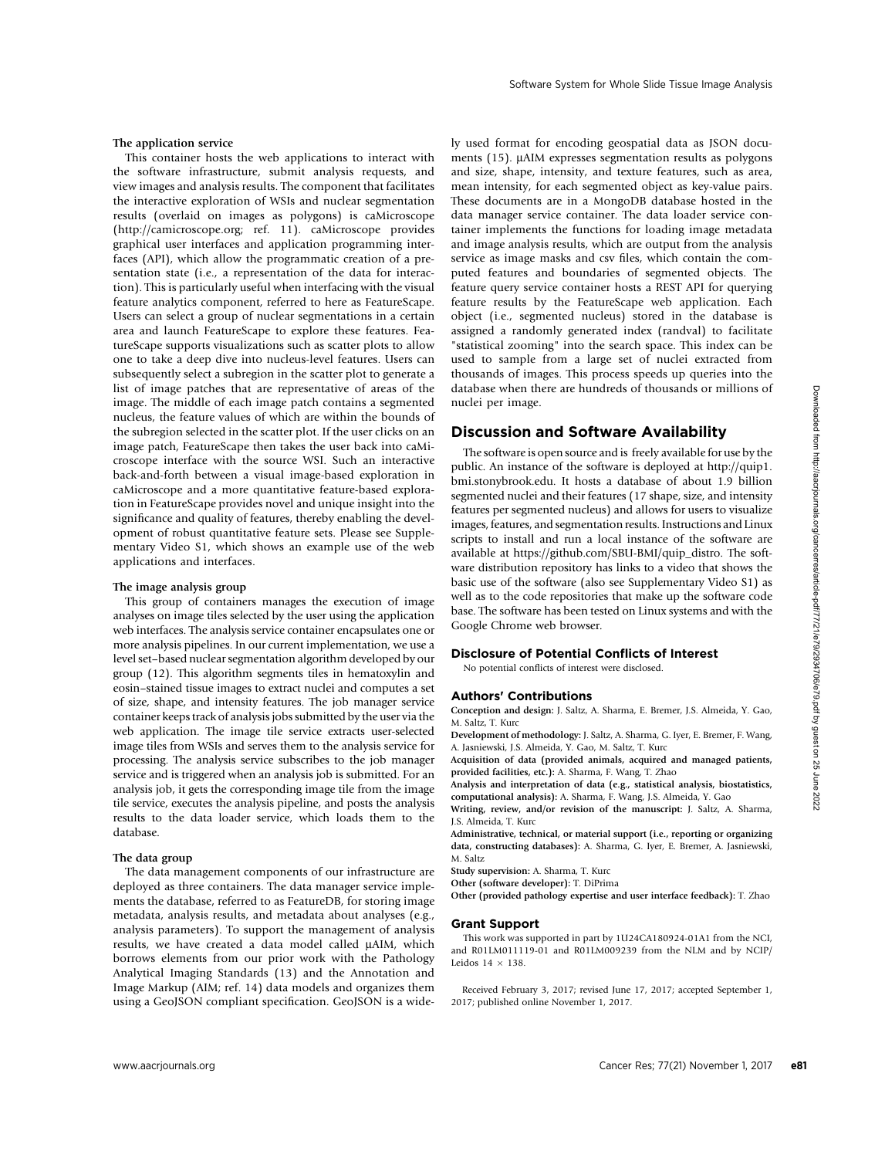### The application service

This container hosts the web applications to interact with the software infrastructure, submit analysis requests, and view images and analysis results. The component that facilitates the interactive exploration of WSIs and nuclear segmentation results (overlaid on images as polygons) is caMicroscope (<http://camicroscope.org>; ref. 11). caMicroscope provides graphical user interfaces and application programming interfaces (API), which allow the programmatic creation of a presentation state (i.e., a representation of the data for interaction). This is particularly useful when interfacing with the visual feature analytics component, referred to here as FeatureScape. Users can select a group of nuclear segmentations in a certain area and launch FeatureScape to explore these features. FeatureScape supports visualizations such as scatter plots to allow one to take a deep dive into nucleus-level features. Users can subsequently select a subregion in the scatter plot to generate a list of image patches that are representative of areas of the image. The middle of each image patch contains a segmented nucleus, the feature values of which are within the bounds of the subregion selected in the scatter plot. If the user clicks on an image patch, FeatureScape then takes the user back into caMicroscope interface with the source WSI. Such an interactive back-and-forth between a visual image-based exploration in caMicroscope and a more quantitative feature-based exploration in FeatureScape provides novel and unique insight into the significance and quality of features, thereby enabling the development of robust quantitative feature sets. Please see Supplementary Video S1, which shows an example use of the web applications and interfaces.

#### The image analysis group

This group of containers manages the execution of image analyses on image tiles selected by the user using the application web interfaces. The analysis service container encapsulates one or more analysis pipelines. In our current implementation, we use a level set–based nuclear segmentation algorithm developed by our group (12). This algorithm segments tiles in hematoxylin and eosin–stained tissue images to extract nuclei and computes a set of size, shape, and intensity features. The job manager service container keeps track of analysis jobs submitted by the user via the web application. The image tile service extracts user-selected image tiles from WSIs and serves them to the analysis service for processing. The analysis service subscribes to the job manager service and is triggered when an analysis job is submitted. For an analysis job, it gets the corresponding image tile from the image tile service, executes the analysis pipeline, and posts the analysis results to the data loader service, which loads them to the database.

## The data group

The data management components of our infrastructure are deployed as three containers. The data manager service implements the database, referred to as FeatureDB, for storing image metadata, analysis results, and metadata about analyses (e.g., analysis parameters). To support the management of analysis results, we have created a data model called  $\mu$ AIM, which borrows elements from our prior work with the Pathology Analytical Imaging Standards (13) and the Annotation and Image Markup (AIM; ref. 14) data models and organizes them using a GeoJSON compliant specification. GeoJSON is a widely used format for encoding geospatial data as JSON documents (15). µAIM expresses segmentation results as polygons and size, shape, intensity, and texture features, such as area, mean intensity, for each segmented object as key-value pairs. These documents are in a MongoDB database hosted in the data manager service container. The data loader service container implements the functions for loading image metadata and image analysis results, which are output from the analysis service as image masks and csv files, which contain the computed features and boundaries of segmented objects. The feature query service container hosts a REST API for querying feature results by the FeatureScape web application. Each object (i.e., segmented nucleus) stored in the database is assigned a randomly generated index (randval) to facilitate "statistical zooming" into the search space. This index can be used to sample from a large set of nuclei extracted from thousands of images. This process speeds up queries into the database when there are hundreds of thousands or millions of nuclei per image.

## Discussion and Software Availability

The software is open source and is freely available for use by the public. An instance of the software is deployed at [http://quip1.](http://quip1.bmi.stonybrook.edu) [bmi.stonybrook.edu](http://quip1.bmi.stonybrook.edu). It hosts a database of about 1.9 billion segmented nuclei and their features (17 shape, size, and intensity features per segmented nucleus) and allows for users to visualize images, features, and segmentation results. Instructions and Linux scripts to install and run a local instance of the software are available at [https://github.com/SBU-BMI/quip\\_distro.](https://github.com/SBU-BMI/quip_distro) The software distribution repository has links to a video that shows the basic use of the software (also see Supplementary Video S1) as well as to the code repositories that make up the software code base. The software has been tested on Linux systems and with the Google Chrome web browser.

#### Disclosure of Potential Conflicts of Interest

No potential conflicts of interest were disclosed.

#### Authors' Contributions

Conception and design: J. Saltz, A. Sharma, E. Bremer, J.S. Almeida, Y. Gao, M. Saltz, T. Kurc

Development of methodology: J. Saltz, A. Sharma, G. Iyer, E. Bremer, F. Wang, A. Jasniewski, J.S. Almeida, Y. Gao, M. Saltz, T. Kurc

Acquisition of data (provided animals, acquired and managed patients, provided facilities, etc.): A. Sharma, F. Wang, T. Zhao

Analysis and interpretation of data (e.g., statistical analysis, biostatistics, computational analysis): A. Sharma, F. Wang, J.S. Almeida, Y. Gao

Writing, review, and/or revision of the manuscript: J. Saltz, A. Sharma, J.S. Almeida, T. Kurc

Administrative, technical, or material support (i.e., reporting or organizing data, constructing databases): A. Sharma, G. Iyer, E. Bremer, A. Jasniewski, M. Saltz

Study supervision: A. Sharma, T. Kurc

Other (software developer): T. DiPrima

Other (provided pathology expertise and user interface feedback): T. Zhao

#### Grant Support

This work was supported in part by 1U24CA180924-01A1 from the NCI, and R01LM011119-01 and R01LM009239 from the NLM and by NCIP/ Leidos  $14 \times 138$ .

Received February 3, 2017; revised June 17, 2017; accepted September 1, 2017; published online November 1, 2017.